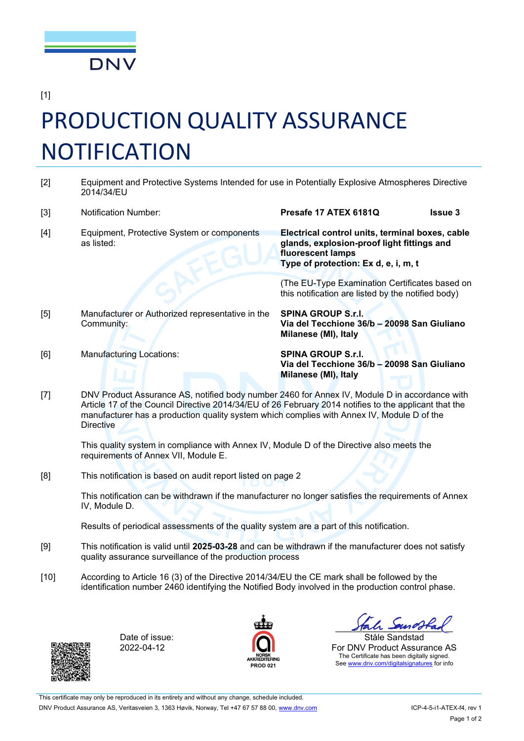

[1]

## PRODUCTION QUALITY ASSURANCE NOTIFICATION

- [2] Equipment and Protective Systems Intended for use in Potentially Explosive Atmospheres Directive 2014/34/EU
- [3] Notification Number: **Presafe 17 ATEX 6181Q Issue 3** [4] Equipment, Protective System or components as listed: **Electrical control units, terminal boxes, cable glands, explosion-proof light fittings and**

(The EU-Type Examination Certificates based on this notification are listed by the notified body)

**Type of protection: Ex d, e, i, m, t**

**fluorescent lamps**

[5] Manufacturer or Authorized representative in the Community:

**SPINA GROUP S.r.l. Via del Tecchione 36/b 20098 San Giuliano Milanese (MI), Italy**

[6] Manufacturing Locations: **SPINA GROUP S.r.l.**

**Via del Tecchione 36/b 20098 San Giuliano Milanese (MI), Italy**

[7] DNV Product Assurance AS, notified body number 2460 for Annex IV, Module D in accordance with Article 17 of the Council Directive 2014/34/EU of 26 February 2014 notifies to the applicant that the manufacturer has a production quality system which complies with Annex IV, Module D of the **Directive** 

This quality system in compliance with Annex IV, Module D of the Directive also meets the requirements of Annex VII, Module E.

[8] This notification is based on audit report listed on page 2

This notification can be withdrawn if the manufacturer no longer satisfies the requirements of Annex IV, Module D.

Results of periodical assessments of the quality system are a part of this notification.

- [9] This notification is valid until **2025-03-28** and can be withdrawn if the manufacturer does not satisfy quality assurance surveillance of the production process
- [10] According to Article 16 (3) of the Directive 2014/34/EU the CE mark shall be followed by the identification number 2460 identifying the Notified Body involved in the production control phase.



Date of issue: 2022-04-12



Hal sunotrad

Ståle Sandstad For DNV Product Assurance AS The Certificate has been digitally signed. See [www.dnv.com/digitalsignatures](http://www.dnv.com/digitalsignatures) for info